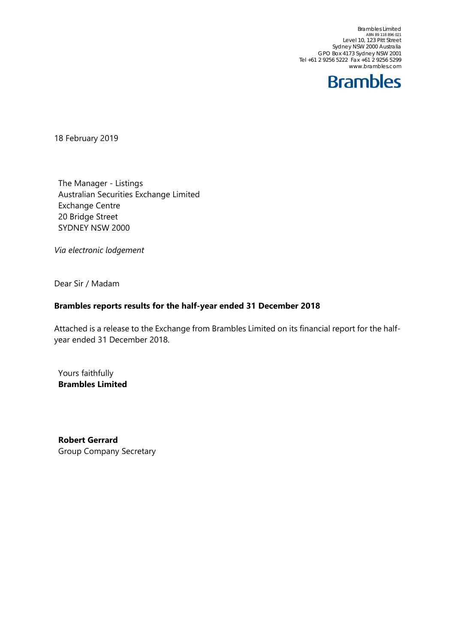Brambles Limited<br>ABN 89 118 896 021<br>Level 10, 123 Pitt Street Sydney NSW 2000 Australia GPO Box 4173 Sydney NSW 2001 Tel +61 2 9256 5222 Fax +61 2 9256 5299 www.brambles.com



18 February 2019

The Manager - Listings Australian Securities Exchange Limited Exchange Centre 20 Bridge Street SYDNEY NSW 2000

*Via electronic lodgement*

Dear Sir / Madam

## **Brambles reports results for the half-year ended 31 December 2018**

Attached is a release to the Exchange from Brambles Limited on its financial report for the halfyear ended 31 December 2018.

Yours faithfully **Brambles Limited** 

**Robert Gerrard**  Group Company Secretary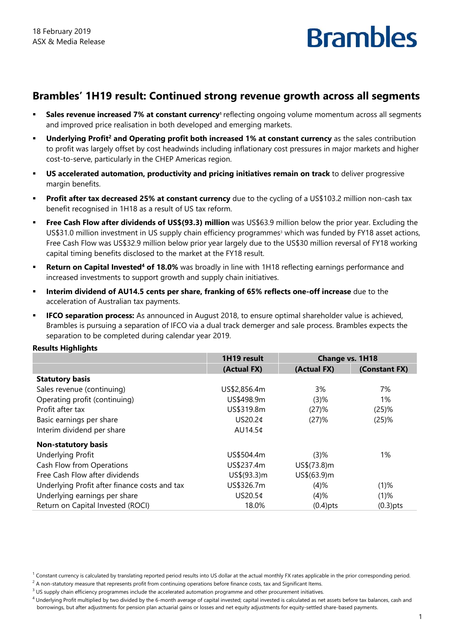## **Brambles' 1H19 result: Continued strong revenue growth across all segments**

- **Sales revenue increased 7% at constant currency**<sup>1</sup> reflecting ongoing volume momentum across all segments and improved price realisation in both developed and emerging markets.
- **Underlying Profit<sup>2</sup> and Operating profit both increased 1% at constant currency as the sales contribution** to profit was largely offset by cost headwinds including inflationary cost pressures in major markets and higher cost-to-serve, particularly in the CHEP Americas region.
- **US accelerated automation, productivity and pricing initiatives remain on track** to deliver progressive margin benefits.
- **Profit after tax decreased 25% at constant currency** due to the cycling of a US\$103.2 million non-cash tax benefit recognised in 1H18 as a result of US tax reform.
- **Free Cash Flow after dividends of US\$(93.3) million** was US\$63.9 million below the prior year. Excluding the US\$31.0 million investment in US supply chain efficiency programmes<sup>3</sup> which was funded by FY18 asset actions, Free Cash Flow was US\$32.9 million below prior year largely due to the US\$30 million reversal of FY18 working capital timing benefits disclosed to the market at the FY18 result.
- **Return on Capital Invested<sup>4</sup> of 18.0%** was broadly in line with 1H18 reflecting earnings performance and increased investments to support growth and supply chain initiatives.
- **Interim dividend of AU14.5 cents per share, franking of 65% reflects one-off increase** due to the acceleration of Australian tax payments.
- **IFCO separation process:** As announced in August 2018, to ensure optimal shareholder value is achieved, Brambles is pursuing a separation of IFCO via a dual track demerger and sale process. Brambles expects the separation to be completed during calendar year 2019.

### **Results Highlights**

|                                               | 1H19 result  | Change vs. 1H18 |               |
|-----------------------------------------------|--------------|-----------------|---------------|
|                                               | (Actual FX)  | (Actual FX)     | (Constant FX) |
| <b>Statutory basis</b>                        |              |                 |               |
| Sales revenue (continuing)                    | US\$2,856.4m | 3%              | 7%            |
| Operating profit (continuing)                 | US\$498.9m   | (3)%            | 1%            |
| Profit after tax                              | US\$319.8m   | (27)%           | (25)%         |
| Basic earnings per share                      | US20.2¢      | (27)%           | (25)%         |
| Interim dividend per share                    | AU14.5¢      |                 |               |
| <b>Non-statutory basis</b>                    |              |                 |               |
| <b>Underlying Profit</b>                      | US\$504.4m   | (3)%            | 1%            |
| Cash Flow from Operations                     | US\$237.4m   | $US\$(73.8)m$   |               |
| Free Cash Flow after dividends                | US\$(93.3)m  | US\$(63.9)m     |               |
| Underlying Profit after finance costs and tax | US\$326.7m   | (4)%            | $(1)$ %       |
| Underlying earnings per share                 | US20.5¢      | (4)%            | $(1)$ %       |
| Return on Capital Invested (ROCI)             | 18.0%        | $(0.4)$ pts     | $(0.3)$ pts   |

 $1$  Constant currency is calculated by translating reported period results into US dollar at the actual monthly FX rates applicable in the prior corresponding period.

 $^2$  A non-statutory measure that represents profit from continuing operations before finance costs, tax and Significant Items.

 $3$  US supply chain efficiency programmes include the accelerated automation programme and other procurement initiatives.

<sup>&</sup>lt;sup>4</sup> Underlying Profit multiplied by two divided by the 6-month average of capital invested; capital invested is calculated as net assets before tax balances, cash and borrowings, but after adjustments for pension plan actuarial gains or losses and net equity adjustments for equity-settled share-based payments.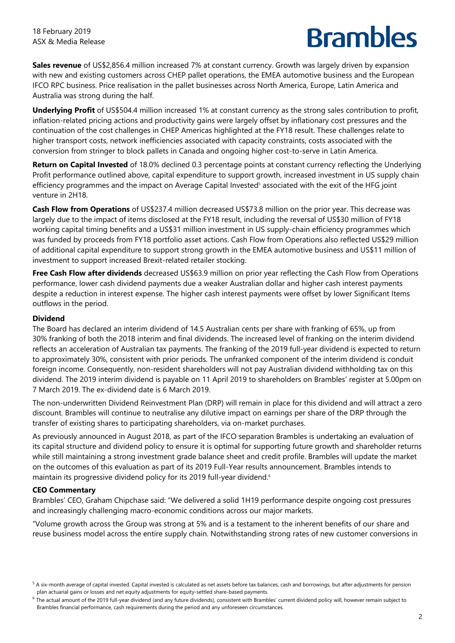**Sales revenue** of US\$2,856.4 million increased 7% at constant currency. Growth was largely driven by expansion with new and existing customers across CHEP pallet operations, the EMEA automotive business and the European IFCO RPC business. Price realisation in the pallet businesses across North America, Europe, Latin America and Australia was strong during the half.

**Underlying Profit** of US\$504.4 million increased 1% at constant currency as the strong sales contribution to profit, inflation-related pricing actions and productivity gains were largely offset by inflationary cost pressures and the continuation of the cost challenges in CHEP Americas highlighted at the FY18 result. These challenges relate to higher transport costs, network inefficiencies associated with capacity constraints, costs associated with the conversion from stringer to block pallets in Canada and ongoing higher cost-to-serve in Latin America.

**Return on Capital Invested** of 18.0% declined 0.3 percentage points at constant currency reflecting the Underlying Profit performance outlined above, capital expenditure to support growth, increased investment in US supply chain efficiency programmes and the impact on Average Capital Invested<sup>s</sup> associated with the exit of the HFG joint venture in 2H18.

**Cash Flow from Operations** of US\$237.4 million decreased US\$73.8 million on the prior year. This decrease was largely due to the impact of items disclosed at the FY18 result, including the reversal of US\$30 million of FY18 working capital timing benefits and a US\$31 million investment in US supply-chain efficiency programmes which was funded by proceeds from FY18 portfolio asset actions. Cash Flow from Operations also reflected US\$29 million of additional capital expenditure to support strong growth in the EMEA automotive business and US\$11 million of investment to support increased Brexit-related retailer stocking.

**Free Cash Flow after dividends** decreased US\$63.9 million on prior year reflecting the Cash Flow from Operations performance, lower cash dividend payments due a weaker Australian dollar and higher cash interest payments despite a reduction in interest expense. The higher cash interest payments were offset by lower Significant Items outflows in the period.

### **Dividend**

The Board has declared an interim dividend of 14.5 Australian cents per share with franking of 65%, up from 30% franking of both the 2018 interim and final dividends. The increased level of franking on the interim dividend reflects an acceleration of Australian tax payments. The franking of the 2019 full-year dividend is expected to return to approximately 30%, consistent with prior periods. The unfranked component of the interim dividend is conduit foreign income. Consequently, non-resident shareholders will not pay Australian dividend withholding tax on this dividend. The 2019 interim dividend is payable on 11 April 2019 to shareholders on Brambles' register at 5.00pm on 7 March 2019. The ex-dividend date is 6 March 2019.

The non-underwritten Dividend Reinvestment Plan (DRP) will remain in place for this dividend and will attract a zero discount. Brambles will continue to neutralise any dilutive impact on earnings per share of the DRP through the transfer of existing shares to participating shareholders, via on-market purchases.

As previously announced in August 2018, as part of the IFCO separation Brambles is undertaking an evaluation of its capital structure and dividend policy to ensure it is optimal for supporting future growth and shareholder returns while still maintaining a strong investment grade balance sheet and credit profile. Brambles will update the market on the outcomes of this evaluation as part of its 2019 Full-Year results announcement. Brambles intends to maintain its progressive dividend policy for its 2019 full-year dividend.<sup>6</sup>

## **CEO Commentary**

Brambles' CEO, Graham Chipchase said: "We delivered a solid 1H19 performance despite ongoing cost pressures and increasingly challenging macro-economic conditions across our major markets.

"Volume growth across the Group was strong at 5% and is a testament to the inherent benefits of our share and reuse business model across the entire supply chain. Notwithstanding strong rates of new customer conversions in

<sup>&</sup>lt;sup>5</sup> A six-month average of capital invested. Capital invested is calculated as net assets before tax balances, cash and borrowings, but after adjustments for pension plan actuarial gains or losses and net equity adjustments for equity-settled share-based payments.

<sup>&</sup>lt;sup>6</sup> The actual amount of the 2019 full-year dividend (and any future dividends), consistent with Brambles' current dividend policy will, however remain subject to Brambles financial performance, cash requirements during the period and any unforeseen circumstances.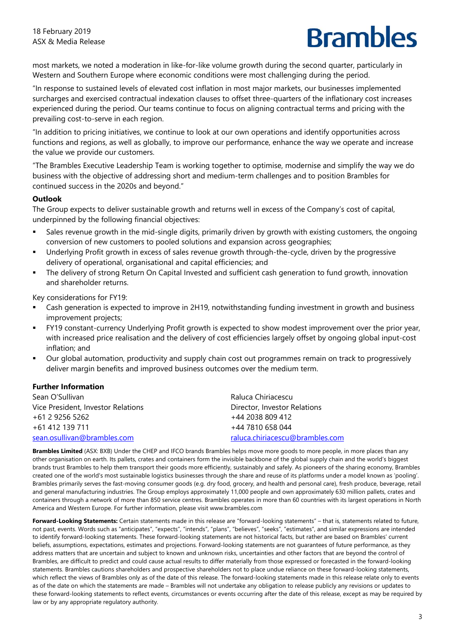most markets, we noted a moderation in like-for-like volume growth during the second quarter, particularly in Western and Southern Europe where economic conditions were most challenging during the period.

"In response to sustained levels of elevated cost inflation in most major markets, our businesses implemented surcharges and exercised contractual indexation clauses to offset three-quarters of the inflationary cost increases experienced during the period. Our teams continue to focus on aligning contractual terms and pricing with the prevailing cost-to-serve in each region.

"In addition to pricing initiatives, we continue to look at our own operations and identify opportunities across functions and regions, as well as globally, to improve our performance, enhance the way we operate and increase the value we provide our customers.

"The Brambles Executive Leadership Team is working together to optimise, modernise and simplify the way we do business with the objective of addressing short and medium-term challenges and to position Brambles for continued success in the 2020s and beyond."

### **Outlook**

The Group expects to deliver sustainable growth and returns well in excess of the Company's cost of capital, underpinned by the following financial objectives:

- Sales revenue growth in the mid-single digits, primarily driven by growth with existing customers, the ongoing conversion of new customers to pooled solutions and expansion across geographies;
- Underlying Profit growth in excess of sales revenue growth through-the-cycle, driven by the progressive delivery of operational, organisational and capital efficiencies; and
- The delivery of strong Return On Capital Invested and sufficient cash generation to fund growth, innovation and shareholder returns.

Key considerations for FY19:

- Cash generation is expected to improve in 2H19, notwithstanding funding investment in growth and business improvement projects;
- FY19 constant-currency Underlying Profit growth is expected to show modest improvement over the prior year, with increased price realisation and the delivery of cost efficiencies largely offset by ongoing global input-cost inflation; and
- Our global automation, productivity and supply chain cost out programmes remain on track to progressively deliver margin benefits and improved business outcomes over the medium term.

### **Further Information**

| Sean O'Sullivan                    | Raluca Chiriacescu              |
|------------------------------------|---------------------------------|
| Vice President, Investor Relations | Director, Investor Relations    |
| +61 2 9256 5262                    | +44 2038 809 412                |
| +61 412 139 711                    | +44 7810 658 044                |
| sean.osullivan@brambles.com        | raluca.chiriacescu@brambles.com |

**Brambles Limited** (ASX: BXB) Under the CHEP and IFCO brands Brambles helps move more goods to more people, in more places than any other organisation on earth. Its pallets, crates and containers form the invisible backbone of the global supply chain and the world's biggest brands trust Brambles to help them transport their goods more efficiently, sustainably and safely. As pioneers of the sharing economy, Brambles created one of the world's most sustainable logistics businesses through the share and reuse of its platforms under a model known as 'pooling'. Brambles primarily serves the fast-moving consumer goods (e.g. dry food, grocery, and health and personal care), fresh produce, beverage, retail and general manufacturing industries. The Group employs approximately 11,000 people and own approximately 630 million pallets, crates and containers through a network of more than 850 service centres. Brambles operates in more than 60 countries with its largest operations in North America and Western Europe. For further information, please visit www.brambles.com

**Forward-Looking Statements:** Certain statements made in this release are "forward-looking statements" – that is, statements related to future, not past, events. Words such as "anticipates", "expects", "intends", "plans", "believes", "seeks", "estimates", and similar expressions are intended to identify forward-looking statements. These forward-looking statements are not historical facts, but rather are based on Brambles' current beliefs, assumptions, expectations, estimates and projections. Forward-looking statements are not guarantees of future performance, as they address matters that are uncertain and subject to known and unknown risks, uncertainties and other factors that are beyond the control of Brambles, are difficult to predict and could cause actual results to differ materially from those expressed or forecasted in the forward-looking statements. Brambles cautions shareholders and prospective shareholders not to place undue reliance on these forward-looking statements, which reflect the views of Brambles only as of the date of this release. The forward-looking statements made in this release relate only to events as of the date on which the statements are made – Brambles will not undertake any obligation to release publicly any revisions or updates to these forward-looking statements to reflect events, circumstances or events occurring after the date of this release, except as may be required by law or by any appropriate regulatory authority.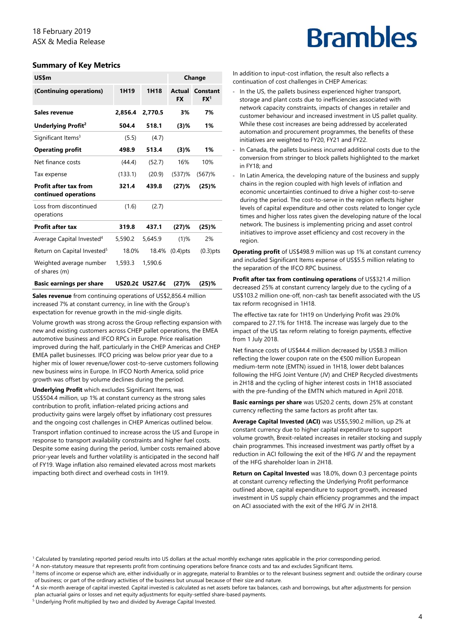### **Summary of Key Metrics**

| US\$m                                                |         |                 |                     | Change                      |
|------------------------------------------------------|---------|-----------------|---------------------|-----------------------------|
| (Continuing operations)                              | 1H19    | 1H18            | Actual<br><b>FX</b> | Constant<br>FX <sup>1</sup> |
| Sales revenue                                        | 2,856.4 | 2,770.5         | 3%                  | 7%                          |
| Underlying Profit <sup>2</sup>                       | 504.4   | 518.1           | (3)%                | 1%                          |
| Significant Items <sup>3</sup>                       | (5.5)   | (4.7)           |                     |                             |
| <b>Operating profit</b>                              | 498.9   | 513.4           | $(3)$ %             | 1%                          |
| Net finance costs                                    | (44.4)  | (52.7)          | 16%                 | 10%                         |
| Tax expense                                          | (133.1) | (20.9)          | $(537)$ %           | $(567)$ %                   |
| <b>Profit after tax from</b><br>continued operations | 321.4   | 439.8           | (27)%               | (25)%                       |
| Loss from discontinued<br>operations                 | (1.6)   | (2.7)           |                     |                             |
| <b>Profit after tax</b>                              | 319.8   | 437.1           | $(27)$ %            | $(25)$ %                    |
| Average Capital Invested <sup>4</sup>                | 5,590.2 | 5,645.9         | (1)%                | 2%                          |
| Return on Capital Invested <sup>5</sup>              | 18.0%   | 18.4%           | $(0.4)$ pts         | $(0.3)$ pts                 |
| Weighted average number<br>of shares (m)             | 1,593.3 | 1,590.6         |                     |                             |
| <b>Basic earnings per share</b>                      |         | US20.2¢ US27.6¢ | $(27)$ %            | (25)%                       |

**Sales revenue** from continuing operations of US\$2,856.4 million increased 7% at constant currency, in line with the Group's expectation for revenue growth in the mid-single digits.

Volume growth was strong across the Group reflecting expansion with new and existing customers across CHEP pallet operations, the EMEA automotive business and IFCO RPCs in Europe. Price realisation improved during the half, particularly in the CHEP Americas and CHEP EMEA pallet businesses. IFCO pricing was below prior year due to a higher mix of lower revenue/lower cost-to-serve customers following new business wins in Europe. In IFCO North America, solid price growth was offset by volume declines during the period.

**Underlying Profit** which excludes Significant Items, was US\$504.4 million, up 1% at constant currency as the strong sales contribution to profit, inflation-related pricing actions and productivity gains were largely offset by inflationary cost pressures and the ongoing cost challenges in CHEP Americas outlined below.

Transport inflation continued to increase across the US and Europe in response to transport availability constraints and higher fuel costs. Despite some easing during the period, lumber costs remained above prior-year levels and further volatility is anticipated in the second half of FY19. Wage inflation also remained elevated across most markets impacting both direct and overhead costs in 1H19.

## **Brambles**

In addition to input-cost inflation, the result also reflects a continuation of cost challenges in CHEP Americas:

- In the US, the pallets business experienced higher transport, storage and plant costs due to inefficiencies associated with network capacity constraints, impacts of changes in retailer and customer behaviour and increased investment in US pallet quality. While these cost increases are being addressed by accelerated automation and procurement programmes, the benefits of these initiatives are weighted to FY20, FY21 and FY22.
- ‐ In Canada, the pallets business incurred additional costs due to the conversion from stringer to block pallets highlighted to the market in FY18; and
- In Latin America, the developing nature of the business and supply chains in the region coupled with high levels of inflation and economic uncertainties continued to drive a higher cost-to-serve during the period. The cost-to-serve in the region reflects higher levels of capital expenditure and other costs related to longer cycle times and higher loss rates given the developing nature of the local network. The business is implementing pricing and asset control initiatives to improve asset efficiency and cost recovery in the region.

**Operating profit** of US\$498.9 million was up 1% at constant currency and included Significant Items expense of US\$5.5 million relating to the separation of the IFCO RPC business.

**Profit after tax from continuing operations** of US\$321.4 million decreased 25% at constant currency largely due to the cycling of a US\$103.2 million one-off, non-cash tax benefit associated with the US tax reform recognised in 1H18.

The effective tax rate for 1H19 on Underlying Profit was 29.0% compared to 27.1% for 1H18. The increase was largely due to the impact of the US tax reform relating to foreign payments, effective from 1 July 2018.

Net finance costs of US\$44.4 million decreased by US\$8.3 million reflecting the lower coupon rate on the €500 million European medium-term note (EMTN) issued in 1H18, lower debt balances following the HFG Joint Venture (JV) and CHEP Recycled divestments in 2H18 and the cycling of higher interest costs in 1H18 associated with the pre-funding of the EMTN which matured in April 2018.

**Basic earnings per share** was US20.2 cents, down 25% at constant currency reflecting the same factors as profit after tax.

**Average Capital Invested (ACI)** was US\$5,590.2 million, up 2% at constant currency due to higher capital expenditure to support volume growth, Brexit-related increases in retailer stocking and supply chain programmes. This increased investment was partly offset by a reduction in ACI following the exit of the HFG JV and the repayment of the HFG shareholder loan in 2H18.

**Return on Capital Invested** was 18.0%, down 0.3 percentage points at constant currency reflecting the Underlying Profit performance outlined above, capital expenditure to support growth, increased investment in US supply chain efficiency programmes and the impact on ACI associated with the exit of the HFG JV in 2H18.

<sup>&</sup>lt;sup>1</sup> Calculated by translating reported period results into US dollars at the actual monthly exchange rates applicable in the prior corresponding period.<br><sup>2</sup> A non-statutory massure that represents profit from continuing o

<sup>&</sup>lt;sup>2</sup> A non-statutory measure that represents profit from continuing operations before finance costs and tax and excludes Significant Items.<br><sup>3</sup> Items of income or expense which are, either individually or in aggregate, mate of business; or part of the ordinary activities of the business but unusual because of their size and nature. 4

<sup>4</sup> A six-month average of capital invested. Capital invested is calculated as net assets before tax balances, cash and borrowings, but after adjustments for pension plan actuarial gains or losses and net equity adjustments for equity-settled share-based payments.

Underlying Profit multiplied by two and divided by Average Capital Invested.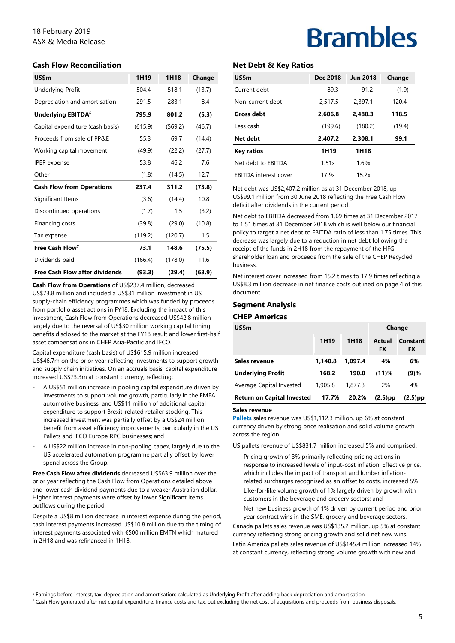## 18 February 2019 ASX & Media Release

### **Cash Flow Reconciliation**

| US\$m                                 | 1H <sub>19</sub> | 1H18    | Change |
|---------------------------------------|------------------|---------|--------|
| <b>Underlying Profit</b>              | 504.4            | 518.1   | (13.7) |
| Depreciation and amortisation         | 291.5            | 283.1   | 8.4    |
| Underlying EBITDA <sup>6</sup>        | 795.9            | 801.2   | (5.3)  |
| Capital expenditure (cash basis)      | (615.9)          | (569.2) | (46.7) |
| Proceeds from sale of PP&E            | 55.3             | 69.7    | (14.4) |
| Working capital movement              | (49.9)           | (22.2)  | (27.7) |
| <b>IPEP</b> expense                   | 53.8             | 46.2    | 7.6    |
| Other                                 | (1.8)            | (14.5)  | 12.7   |
| <b>Cash Flow from Operations</b>      | 237.4            | 311.2   | (73.8) |
| Significant Items                     | (3.6)            | (14.4)  | 10.8   |
| Discontinued operations               | (1.7)            | 1.5     | (3.2)  |
| Financing costs                       | (39.8)           | (29.0)  | (10.8) |
| Tax expense                           | (119.2)          | (120.7) | 1.5    |
| Free Cash Flow <sup>7</sup>           | 73.1             | 148.6   | (75.5) |
| Dividends paid                        | (166.4)          | (178.0) | 11.6   |
| <b>Free Cash Flow after dividends</b> | (93.3)           | (29.4)  | (63.9) |

**Cash Flow from Operations** of US\$237.4 million, decreased US\$73.8 million and included a US\$31 million investment in US supply-chain efficiency programmes which was funded by proceeds from portfolio asset actions in FY18. Excluding the impact of this investment, Cash Flow from Operations decreased US\$42.8 million largely due to the reversal of US\$30 million working capital timing benefits disclosed to the market at the FY18 result and lower first-half asset compensations in CHEP Asia-Pacific and IFCO.

Capital expenditure (cash basis) of US\$615.9 million increased US\$46.7m on the prior year reflecting investments to support growth and supply chain initiatives. On an accruals basis, capital expenditure increased US\$73.3m at constant currency, reflecting:

- A US\$51 million increase in pooling capital expenditure driven by investments to support volume growth, particularly in the EMEA automotive business, and US\$11 million of additional capital expenditure to support Brexit-related retailer stocking. This increased investment was partially offset by a US\$24 million benefit from asset efficiency improvements, particularly in the US Pallets and IFCO Europe RPC businesses; and
- A US\$22 million increase in non-pooling capex, largely due to the US accelerated automation programme partially offset by lower spend across the Group.

**Free Cash Flow after dividends** decreased US\$63.9 million over the prior year reflecting the Cash Flow from Operations detailed above and lower cash dividend payments due to a weaker Australian dollar. Higher interest payments were offset by lower Significant Items outflows during the period.

Despite a US\$8 million decrease in interest expense during the period, cash interest payments increased US\$10.8 million due to the timing of interest payments associated with €500 million EMTN which matured in 2H18 and was refinanced in 1H18.

## **Brambles**

### **Net Debt & Key Ratios**

| US\$m                        | Dec 2018         | <b>Jun 2018</b> | Change |
|------------------------------|------------------|-----------------|--------|
| Current debt                 | 89.3             | 912             | (1.9)  |
| Non-current debt             | 2.517.5          | 2,397.1         | 120.4  |
| <b>Gross debt</b>            | 2.606.8          | 2,488.3         | 118.5  |
| Less cash                    | (199.6)          | (180.2)         | (19.4) |
| Net debt                     | 2,407.2          | 2,308.1         | 99.1   |
| <b>Key ratios</b>            | 1H <sub>19</sub> | 1H18            |        |
| Net debt to EBITDA           | 1.51x            | 1.69x           |        |
| <b>EBITDA</b> interest cover | 17 9x            | 15.2x           |        |

Net debt was US\$2,407.2 million as at 31 December 2018, up US\$99.1 million from 30 June 2018 reflecting the Free Cash Flow deficit after dividends in the current period.

Net debt to EBITDA decreased from 1.69 times at 31 December 2017 to 1.51 times at 31 December 2018 which is well below our financial policy to target a net debt to EBITDA ratio of less than 1.75 times. This decrease was largely due to a reduction in net debt following the receipt of the funds in 2H18 from the repayment of the HFG shareholder loan and proceeds from the sale of the CHEP Recycled business.

Net interest cover increased from 15.2 times to 17.9 times reflecting a US\$8.3 million decrease in net finance costs outlined on page 4 of this document.

### **Segment Analysis**

#### **CHEP Americas**

| US\$m                             |         |         | Change              |                              |  |
|-----------------------------------|---------|---------|---------------------|------------------------------|--|
|                                   | 1H19    | 1H18    | Actual<br><b>FX</b> | <b>Constant</b><br><b>FX</b> |  |
| Sales revenue                     | 1.140.8 | 1.097.4 | 4%                  | 6%                           |  |
| <b>Underlying Profit</b>          | 168.2   | 190.0   | $(11)$ %            | $(9)$ %                      |  |
| Average Capital Invested          | 1,905.8 | 1,877.3 | 2%                  | 4%                           |  |
| <b>Return on Capital Invested</b> | 17.7%   | 20.2%   | $(2.5)$ pp          | $(2.5)$ pp                   |  |

#### **Sales revenue**

**Pallets** sales revenue was US\$1,112.3 million, up 6% at constant currency driven by strong price realisation and solid volume growth across the region.

US pallets revenue of US\$831.7 million increased 5% and comprised:

- Pricing growth of 3% primarily reflecting pricing actions in response to increased levels of input-cost inflation. Effective price, which includes the impact of transport and lumber inflationrelated surcharges recognised as an offset to costs, increased 5%.
- Like-for-like volume growth of 1% largely driven by growth with customers in the beverage and grocery sectors; and
- Net new business growth of 1% driven by current period and prior year contract wins in the SME, grocery and beverage sectors.

Canada pallets sales revenue was US\$135.2 million, up 5% at constant currency reflecting strong pricing growth and solid net new wins. Latin America pallets sales revenue of US\$145.4 million increased 14% at constant currency, reflecting strong volume growth with new and

 $^6$  Earnings before interest, tax, depreciation and amortisation: calculated as Underlying Profit after adding back depreciation and amortisation.<br><sup>7</sup> Cash Flow generated after net capital expenditure, finance costs and

 $^7$  Cash Flow generated after net capital expenditure, finance costs and tax, but excluding the net cost of acquisitions and proceeds from business disposals.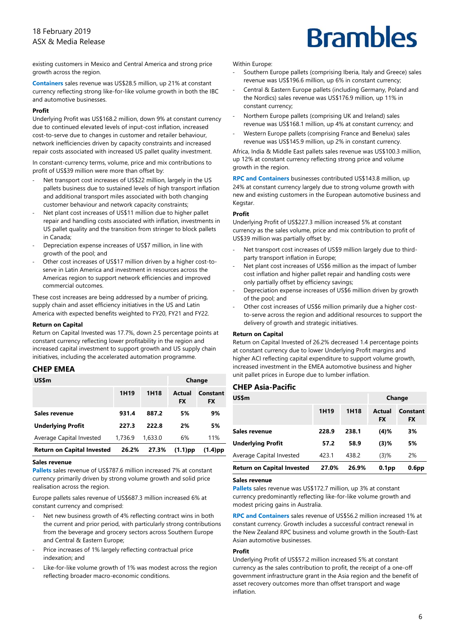existing customers in Mexico and Central America and strong price growth across the region.

**Containers** sales revenue was US\$28.5 million, up 21% at constant currency reflecting strong like-for-like volume growth in both the IBC and automotive businesses.

#### **Profit**

Underlying Profit was US\$168.2 million, down 9% at constant currency due to continued elevated levels of input-cost inflation, increased cost-to-serve due to changes in customer and retailer behaviour, network inefficiencies driven by capacity constraints and increased repair costs associated with increased US pallet quality investment.

In constant-currency terms, volume, price and mix contributions to profit of US\$39 million were more than offset by:

- Net transport cost increases of US\$22 million, largely in the US pallets business due to sustained levels of high transport inflation and additional transport miles associated with both changing customer behaviour and network capacity constraints;
- Net plant cost increases of US\$11 million due to higher pallet repair and handling costs associated with inflation, investments in US pallet quality and the transition from stringer to block pallets in Canada;
- ‐ Depreciation expense increases of US\$7 million, in line with growth of the pool; and
- Other cost increases of US\$17 million driven by a higher cost-toserve in Latin America and investment in resources across the Americas region to support network efficiencies and improved commercial outcomes.

These cost increases are being addressed by a number of pricing, supply chain and asset efficiency initiatives in the US and Latin America with expected benefits weighted to FY20, FY21 and FY22.

#### **Return on Capital**

Return on Capital Invested was 17.7%, down 2.5 percentage points at constant currency reflecting lower profitability in the region and increased capital investment to support growth and US supply chain initiatives, including the accelerated automation programme.

### **CHEP EMEA**

| US\$m                             |                  |                  | Change              |                       |  |
|-----------------------------------|------------------|------------------|---------------------|-----------------------|--|
|                                   | 1H <sub>19</sub> | 1H <sub>18</sub> | Actual<br><b>FX</b> | Constant<br><b>FX</b> |  |
| Sales revenue                     | 931.4            | 887.2            | 5%                  | 9%                    |  |
| <b>Underlying Profit</b>          | 227.3            | 222.8            | 2%                  | 5%                    |  |
| Average Capital Invested          | 1,736.9          | 1.633.0          | 6%                  | 11%                   |  |
| <b>Return on Capital Invested</b> | 26.2%            | 27.3%            | $(1.1)$ pp          | $(1.4)$ pp            |  |

#### **Sales revenue**

**Pallets** sales revenue of US\$787.6 million increased 7% at constant currency primarily driven by strong volume growth and solid price realisation across the region.

Europe pallets sales revenue of US\$687.3 million increased 6% at constant currency and comprised:

- Net new business growth of 4% reflecting contract wins in both the current and prior period, with particularly strong contributions from the beverage and grocery sectors across Southern Europe and Central & Eastern Europe;
- Price increases of 1% largely reflecting contractual price indexation; and
- Like-for-like volume growth of 1% was modest across the region reflecting broader macro-economic conditions.

#### Within Europe:

- Southern Europe pallets (comprising Iberia, Italy and Greece) sales revenue was US\$196.6 million, up 6% in constant currency;
- ‐ Central & Eastern Europe pallets (including Germany, Poland and the Nordics) sales revenue was US\$176.9 million, up 11% in constant currency;
- ‐ Northern Europe pallets (comprising UK and Ireland) sales revenue was US\$168.1 million, up 4% at constant currency; and
- ‐ Western Europe pallets (comprising France and Benelux) sales revenue was US\$145.9 million, up 2% in constant currency.

Africa, India & Middle East pallets sales revenue was US\$100.3 million, up 12% at constant currency reflecting strong price and volume growth in the region.

**RPC and Containers** businesses contributed US\$143.8 million, up 24% at constant currency largely due to strong volume growth with new and existing customers in the European automotive business and Kegstar.

#### **Profit**

Underlying Profit of US\$227.3 million increased 5% at constant currency as the sales volume, price and mix contribution to profit of US\$39 million was partially offset by:

- Net transport cost increases of US\$9 million largely due to thirdparty transport inflation in Europe;
- Net plant cost increases of US\$6 million as the impact of lumber cost inflation and higher pallet repair and handling costs were only partially offset by efficiency savings;
- ‐ Depreciation expense increases of US\$6 million driven by growth of the pool; and
- Other cost increases of US\$6 million primarily due a higher costto-serve across the region and additional resources to support the delivery of growth and strategic initiatives.

#### **Return on Capital**

Return on Capital Invested of 26.2% decreased 1.4 percentage points at constant currency due to lower Underlying Profit margins and higher ACI reflecting capital expenditure to support volume growth, increased investment in the EMEA automotive business and higher unit pallet prices in Europe due to lumber inflation.

### **CHEP Asia-Pacific**

| US\$m                             |                  |       |                     | Change                |  |  |
|-----------------------------------|------------------|-------|---------------------|-----------------------|--|--|
|                                   | 1H <sub>19</sub> | 1H18  | Actual<br><b>FX</b> | Constant<br><b>FX</b> |  |  |
| Sales revenue                     | 228.9            | 238.1 | (4)%                | 3%                    |  |  |
| <b>Underlying Profit</b>          | 57.2             | 58.9  | $(3)$ %             | 5%                    |  |  |
| Average Capital Invested          | 423.1            | 438.2 | $(3)$ %             | 2%                    |  |  |
| <b>Return on Capital Invested</b> | 27.0%            | 26.9% | 0.1 <sub>pp</sub>   | 0.6 <sub>pp</sub>     |  |  |

#### **Sales revenue**

**Pallets** sales revenue was US\$172.7 million, up 3% at constant currency predominantly reflecting like-for-like volume growth and modest pricing gains in Australia.

**RPC and Containers** sales revenue of US\$56.2 million increased 1% at constant currency. Growth includes a successful contract renewal in the New Zealand RPC business and volume growth in the South-East Asian automotive businesses.

#### **Profit**

Underlying Profit of US\$57.2 million increased 5% at constant currency as the sales contribution to profit, the receipt of a one-off government infrastructure grant in the Asia region and the benefit of asset recovery outcomes more than offset transport and wage inflation.

## **Brambles**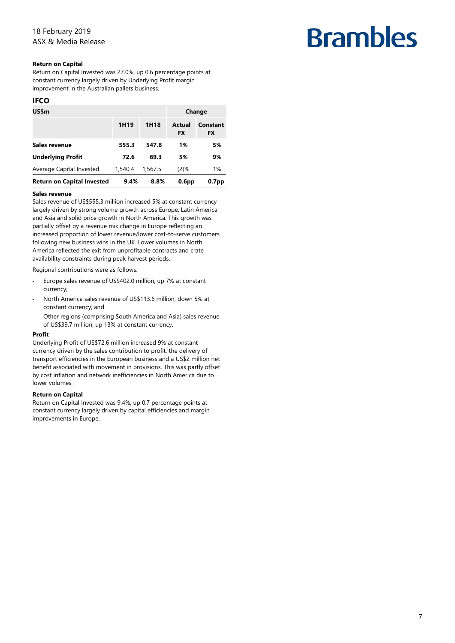### **Return on Capital**

Return on Capital Invested was 27.0%, up 0.6 percentage points at constant currency largely driven by Underlying Profit margin improvement in the Australian pallets business.

### **IFCO**

| US\$m                             |                  |         |                     | Change                       |
|-----------------------------------|------------------|---------|---------------------|------------------------------|
|                                   | 1H <sub>19</sub> | 1H18    | Actual<br><b>FX</b> | <b>Constant</b><br><b>FX</b> |
| Sales revenue                     | 555.3            | 547.8   | 1%                  | 5%                           |
| <b>Underlying Profit</b>          | 72.6             | 69.3    | 5%                  | 9%                           |
| Average Capital Invested          | 1,540.4          | 1,567.5 | $(2)$ %             | 1%                           |
| <b>Return on Capital Invested</b> | 9.4%             | 8.8%    | 0.6 <sub>pp</sub>   | 0.7 <sub>pp</sub>            |

#### **Sales revenue**

Sales revenue of US\$555.3 million increased 5% at constant currency largely driven by strong volume growth across Europe, Latin America and Asia and solid price growth in North America. This growth was partially offset by a revenue mix change in Europe reflecting an increased proportion of lower revenue/lower cost-to-serve customers following new business wins in the UK. Lower volumes in North America reflected the exit from unprofitable contracts and crate availability constraints during peak harvest periods.

Regional contributions were as follows:

- Europe sales revenue of US\$402.0 million, up 7% at constant currency;
- ‐ North America sales revenue of US\$113.6 million, down 5% at constant currency; and
- Other regions (comprising South America and Asia) sales revenue of US\$39.7 million, up 13% at constant currency.

#### **Profit**

Underlying Profit of US\$72.6 million increased 9% at constant currency driven by the sales contribution to profit, the delivery of transport efficiencies in the European business and a US\$2 million net benefit associated with movement in provisions. This was partly offset by cost inflation and network inefficiencies in North America due to lower volumes.

#### **Return on Capital**

Return on Capital Invested was 9.4%, up 0.7 percentage points at constant currency largely driven by capital efficiencies and margin improvements in Europe.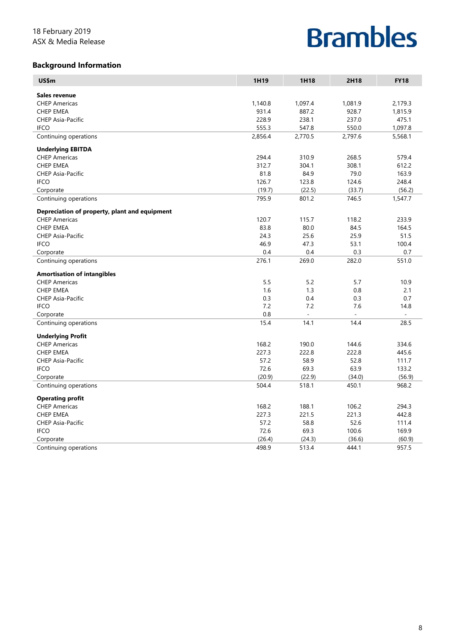## **Background Information**

| US\$m                                         | 1H19    | 1H18     | 2H18                     | <b>FY18</b>              |
|-----------------------------------------------|---------|----------|--------------------------|--------------------------|
| Sales revenue                                 |         |          |                          |                          |
| <b>CHEP Americas</b>                          | 1,140.8 | 1,097.4  | 1,081.9                  | 2,179.3                  |
| <b>CHEP EMEA</b>                              | 931.4   | 887.2    | 928.7                    | 1,815.9                  |
| <b>CHEP Asia-Pacific</b>                      | 228.9   | 238.1    | 237.0                    | 475.1                    |
| <b>IFCO</b>                                   | 555.3   | 547.8    | 550.0                    | 1,097.8                  |
| Continuing operations                         | 2,856.4 | 2,770.5  | 2,797.6                  | 5,568.1                  |
| <b>Underlying EBITDA</b>                      |         |          |                          |                          |
| <b>CHEP Americas</b>                          | 294.4   | 310.9    | 268.5                    | 579.4                    |
| <b>CHEP EMEA</b>                              | 312.7   | 304.1    | 308.1                    | 612.2                    |
| <b>CHEP Asia-Pacific</b>                      | 81.8    | 84.9     | 79.0                     | 163.9                    |
| <b>IFCO</b>                                   | 126.7   | 123.8    | 124.6                    | 248.4                    |
| Corporate                                     | (19.7)  | (22.5)   | (33.7)                   | (56.2)                   |
| Continuing operations                         | 795.9   | 801.2    | 746.5                    | 1,547.7                  |
| Depreciation of property, plant and equipment |         |          |                          |                          |
| <b>CHEP Americas</b>                          | 120.7   | 115.7    | 118.2                    | 233.9                    |
| <b>CHEP EMEA</b>                              | 83.8    | 80.0     | 84.5                     | 164.5                    |
| CHEP Asia-Pacific                             | 24.3    | 25.6     | 25.9                     | 51.5                     |
| <b>IFCO</b>                                   | 46.9    | 47.3     | 53.1                     | 100.4                    |
| Corporate                                     | 0.4     | 0.4      | 0.3                      | 0.7                      |
| Continuing operations                         | 276.1   | 269.0    | 282.0                    | 551.0                    |
| <b>Amortisation of intangibles</b>            |         |          |                          |                          |
| <b>CHEP Americas</b>                          | 5.5     | 5.2      | 5.7                      | 10.9                     |
| <b>CHEP EMEA</b>                              | 1.6     | 1.3      | 0.8                      | 2.1                      |
| <b>CHEP Asia-Pacific</b>                      | 0.3     | 0.4      | 0.3                      | 0.7                      |
| <b>IFCO</b>                                   | 7.2     | 7.2      | 7.6                      | 14.8                     |
| Corporate                                     | 0.8     | $\equiv$ | $\overline{\phantom{a}}$ | $\overline{\phantom{a}}$ |
| Continuing operations                         | 15.4    | 14.1     | 14.4                     | 28.5                     |
| <b>Underlying Profit</b>                      |         |          |                          |                          |
| <b>CHEP Americas</b>                          | 168.2   | 190.0    | 144.6                    | 334.6                    |
| <b>CHEP EMEA</b>                              | 227.3   | 222.8    | 222.8                    | 445.6                    |
| <b>CHEP Asia-Pacific</b>                      | 57.2    | 58.9     | 52.8                     | 111.7                    |
| <b>IFCO</b>                                   | 72.6    | 69.3     | 63.9                     | 133.2                    |
| Corporate                                     | (20.9)  | (22.9)   | (34.0)                   | (56.9)                   |
| Continuing operations                         | 504.4   | 518.1    | 450.1                    | 968.2                    |
| <b>Operating profit</b>                       |         |          |                          |                          |
| <b>CHEP Americas</b>                          | 168.2   | 188.1    | 106.2                    | 294.3                    |
| <b>CHEP EMEA</b>                              | 227.3   | 221.5    | 221.3                    | 442.8                    |
| <b>CHEP Asia-Pacific</b>                      | 57.2    | 58.8     | 52.6                     | 111.4                    |
| <b>IFCO</b>                                   | 72.6    | 69.3     | 100.6                    | 169.9                    |
| Corporate                                     | (26.4)  | (24.3)   | (36.6)                   | (60.9)                   |
| Continuing operations                         | 498.9   | 513.4    | 444.1                    | 957.5                    |